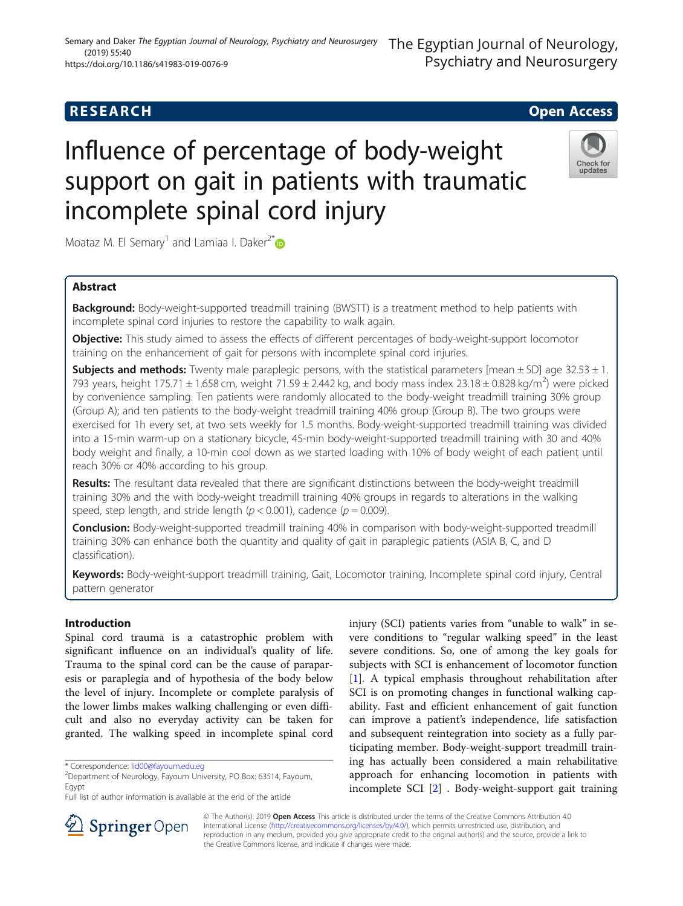# (2019) 55:40 https://doi.org/10.1186/s41983-019-0076-9

# **RESEARCH CHE Open Access**

# Influence of percentage of body-weight support on gait in patients with traumatic incomplete spinal cord injury

Moataz M. El Semary<sup>1</sup> and Lamiaa I. Daker<sup>2\*</sup>

# Abstract

**Background:** Body-weight-supported treadmill training (BWSTT) is a treatment method to help patients with incomplete spinal cord injuries to restore the capability to walk again.

**Objective:** This study aimed to assess the effects of different percentages of body-weight-support locomotor training on the enhancement of gait for persons with incomplete spinal cord injuries.

**Subjects and methods:** Twenty male paraplegic persons, with the statistical parameters [mean  $\pm$  SD] age 32.53  $\pm$  1. 793 years, height 175.71  $\pm$  1.658 cm, weight 71.59  $\pm$  2.442 kg, and body mass index 23.18  $\pm$  0.828 kg/m<sup>2</sup>) were picked by convenience sampling. Ten patients were randomly allocated to the body-weight treadmill training 30% group (Group A); and ten patients to the body-weight treadmill training 40% group (Group B). The two groups were exercised for 1h every set, at two sets weekly for 1.5 months. Body-weight-supported treadmill training was divided into a 15-min warm-up on a stationary bicycle, 45-min body-weight-supported treadmill training with 30 and 40% body weight and finally, a 10-min cool down as we started loading with 10% of body weight of each patient until reach 30% or 40% according to his group.

Results: The resultant data revealed that there are significant distinctions between the body-weight treadmill training 30% and the with body-weight treadmill training 40% groups in regards to alterations in the walking speed, step length, and stride length ( $p < 0.001$ ), cadence ( $p = 0.009$ ).

**Conclusion:** Body-weight-supported treadmill training 40% in comparison with body-weight-supported treadmill training 30% can enhance both the quantity and quality of gait in paraplegic patients (ASIA B, C, and D classification).

Keywords: Body-weight-support treadmill training, Gait, Locomotor training, Incomplete spinal cord injury, Central pattern generator

# Introduction

Spinal cord trauma is a catastrophic problem with significant influence on an individual's quality of life. Trauma to the spinal cord can be the cause of paraparesis or paraplegia and of hypothesia of the body below the level of injury. Incomplete or complete paralysis of the lower limbs makes walking challenging or even difficult and also no everyday activity can be taken for granted. The walking speed in incomplete spinal cord injury (SCI) patients varies from "unable to walk" in severe conditions to "regular walking speed" in the least severe conditions. So, one of among the key goals for subjects with SCI is enhancement of locomotor function [[1\]](#page-5-0). A typical emphasis throughout rehabilitation after SCI is on promoting changes in functional walking capability. Fast and efficient enhancement of gait function can improve a patient's independence, life satisfaction and subsequent reintegration into society as a fully participating member. Body-weight-support treadmill training has actually been considered a main rehabilitative approach for enhancing locomotion in patients with incomplete SCI [\[2](#page-5-0)] . Body-weight-support gait training



© The Author(s). 2019 Open Access This article is distributed under the terms of the Creative Commons Attribution 4.0 International License ([http://creativecommons.org/licenses/by/4.0/\)](http://creativecommons.org/licenses/by/4.0/), which permits unrestricted use, distribution, and reproduction in any medium, provided you give appropriate credit to the original author(s) and the source, provide a link to the Creative Commons license, and indicate if changes were made.





<sup>\*</sup> Correspondence: [lid00@fayoum.edu.eg](mailto:lid00@fayoum.edu.eg) <sup>2</sup>

Department of Neurology, Fayoum University, PO Box: 63514, Fayoum, Egypt

Full list of author information is available at the end of the article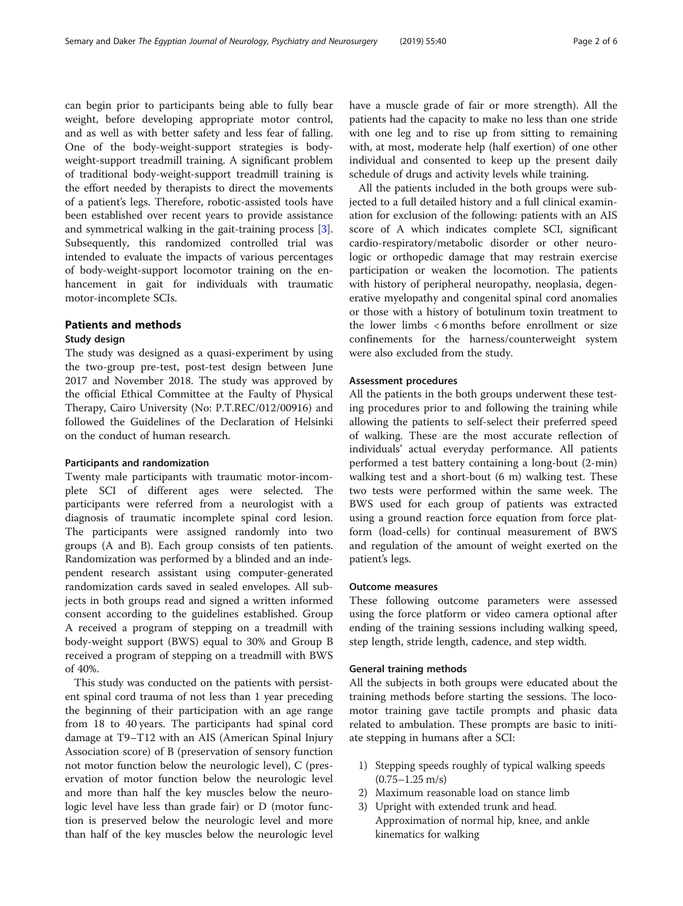can begin prior to participants being able to fully bear weight, before developing appropriate motor control, and as well as with better safety and less fear of falling. One of the body-weight-support strategies is body-

weight-support treadmill training. A significant problem of traditional body-weight-support treadmill training is the effort needed by therapists to direct the movements of a patient's legs. Therefore, robotic-assisted tools have been established over recent years to provide assistance and symmetrical walking in the gait-training process [\[3](#page-5-0)]. Subsequently, this randomized controlled trial was intended to evaluate the impacts of various percentages of body-weight-support locomotor training on the enhancement in gait for individuals with traumatic motor-incomplete SCIs.

# Patients and methods

## Study design

The study was designed as a quasi-experiment by using the two-group pre-test, post-test design between June 2017 and November 2018. The study was approved by the official Ethical Committee at the Faulty of Physical Therapy, Cairo University (No: P.T.REC/012/00916) and followed the Guidelines of the Declaration of Helsinki on the conduct of human research.

# Participants and randomization

Twenty male participants with traumatic motor-incomplete SCI of different ages were selected. The participants were referred from a neurologist with a diagnosis of traumatic incomplete spinal cord lesion. The participants were assigned randomly into two groups (A and B). Each group consists of ten patients. Randomization was performed by a blinded and an independent research assistant using computer-generated randomization cards saved in sealed envelopes. All subjects in both groups read and signed a written informed consent according to the guidelines established. Group A received a program of stepping on a treadmill with body-weight support (BWS) equal to 30% and Group B received a program of stepping on a treadmill with BWS of 40%.

This study was conducted on the patients with persistent spinal cord trauma of not less than 1 year preceding the beginning of their participation with an age range from 18 to 40 years. The participants had spinal cord damage at T9–T12 with an AIS (American Spinal Injury Association score) of B (preservation of sensory function not motor function below the neurologic level), C (preservation of motor function below the neurologic level and more than half the key muscles below the neurologic level have less than grade fair) or D (motor function is preserved below the neurologic level and more than half of the key muscles below the neurologic level have a muscle grade of fair or more strength). All the patients had the capacity to make no less than one stride with one leg and to rise up from sitting to remaining with, at most, moderate help (half exertion) of one other individual and consented to keep up the present daily schedule of drugs and activity levels while training.

All the patients included in the both groups were subjected to a full detailed history and a full clinical examination for exclusion of the following: patients with an AIS score of A which indicates complete SCI, significant cardio-respiratory/metabolic disorder or other neurologic or orthopedic damage that may restrain exercise participation or weaken the locomotion. The patients with history of peripheral neuropathy, neoplasia, degenerative myelopathy and congenital spinal cord anomalies or those with a history of botulinum toxin treatment to the lower limbs < 6 months before enrollment or size confinements for the harness/counterweight system were also excluded from the study.

## Assessment procedures

All the patients in the both groups underwent these testing procedures prior to and following the training while allowing the patients to self-select their preferred speed of walking. These are the most accurate reflection of individuals' actual everyday performance. All patients performed a test battery containing a long-bout (2-min) walking test and a short-bout (6 m) walking test. These two tests were performed within the same week. The BWS used for each group of patients was extracted using a ground reaction force equation from force platform (load-cells) for continual measurement of BWS and regulation of the amount of weight exerted on the patient's legs.

# Outcome measures

These following outcome parameters were assessed using the force platform or video camera optional after ending of the training sessions including walking speed, step length, stride length, cadence, and step width.

#### General training methods

All the subjects in both groups were educated about the training methods before starting the sessions. The locomotor training gave tactile prompts and phasic data related to ambulation. These prompts are basic to initiate stepping in humans after a SCI:

- 1) Stepping speeds roughly of typical walking speeds  $(0.75 - 1.25 \text{ m/s})$
- 2) Maximum reasonable load on stance limb
- 3) Upright with extended trunk and head. Approximation of normal hip, knee, and ankle kinematics for walking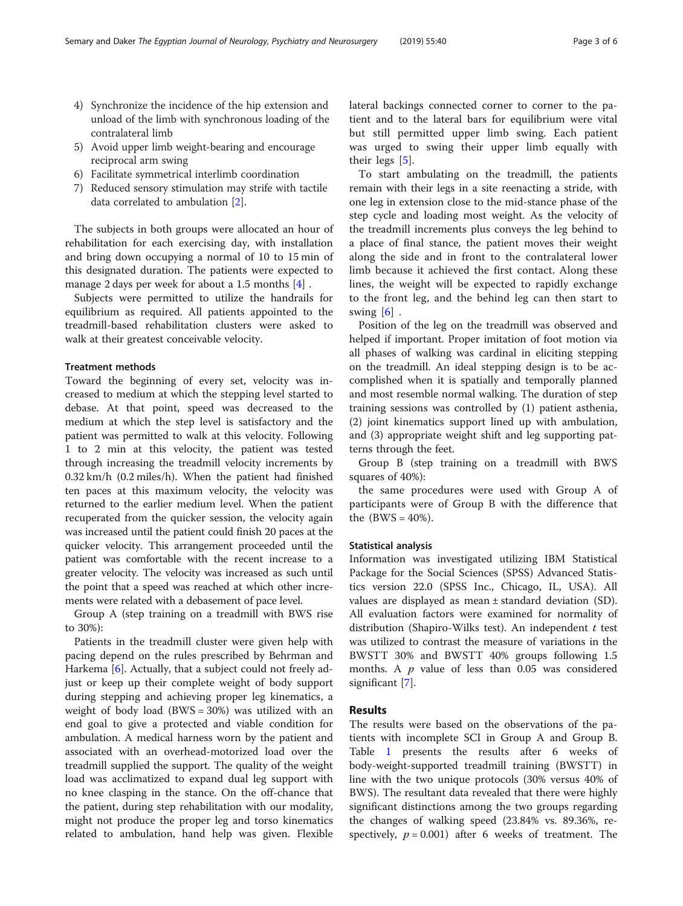- 4) Synchronize the incidence of the hip extension and unload of the limb with synchronous loading of the contralateral limb
- 5) Avoid upper limb weight-bearing and encourage reciprocal arm swing
- 6) Facilitate symmetrical interlimb coordination
- 7) Reduced sensory stimulation may strife with tactile data correlated to ambulation [[2\]](#page-5-0).

The subjects in both groups were allocated an hour of rehabilitation for each exercising day, with installation and bring down occupying a normal of 10 to 15 min of this designated duration. The patients were expected to manage 2 days per week for about a 1.5 months [\[4](#page-5-0)] .

Subjects were permitted to utilize the handrails for equilibrium as required. All patients appointed to the treadmill-based rehabilitation clusters were asked to walk at their greatest conceivable velocity.

#### Treatment methods

Toward the beginning of every set, velocity was increased to medium at which the stepping level started to debase. At that point, speed was decreased to the medium at which the step level is satisfactory and the patient was permitted to walk at this velocity. Following 1 to 2 min at this velocity, the patient was tested through increasing the treadmill velocity increments by 0.32 km/h (0.2 miles/h). When the patient had finished ten paces at this maximum velocity, the velocity was returned to the earlier medium level. When the patient recuperated from the quicker session, the velocity again was increased until the patient could finish 20 paces at the quicker velocity. This arrangement proceeded until the patient was comfortable with the recent increase to a greater velocity. The velocity was increased as such until the point that a speed was reached at which other increments were related with a debasement of pace level.

Group A (step training on a treadmill with BWS rise to 30%):

Patients in the treadmill cluster were given help with pacing depend on the rules prescribed by Behrman and Harkema [\[6](#page-5-0)]. Actually, that a subject could not freely adjust or keep up their complete weight of body support during stepping and achieving proper leg kinematics, a weight of body load  $(BWS = 30%)$  was utilized with an end goal to give a protected and viable condition for ambulation. A medical harness worn by the patient and associated with an overhead-motorized load over the treadmill supplied the support. The quality of the weight load was acclimatized to expand dual leg support with no knee clasping in the stance. On the off-chance that the patient, during step rehabilitation with our modality, might not produce the proper leg and torso kinematics related to ambulation, hand help was given. Flexible lateral backings connected corner to corner to the patient and to the lateral bars for equilibrium were vital but still permitted upper limb swing. Each patient was urged to swing their upper limb equally with their legs [\[5](#page-5-0)].

To start ambulating on the treadmill, the patients remain with their legs in a site reenacting a stride, with one leg in extension close to the mid-stance phase of the step cycle and loading most weight. As the velocity of the treadmill increments plus conveys the leg behind to a place of final stance, the patient moves their weight along the side and in front to the contralateral lower limb because it achieved the first contact. Along these lines, the weight will be expected to rapidly exchange to the front leg, and the behind leg can then start to swing  $[6]$  $[6]$ .

Position of the leg on the treadmill was observed and helped if important. Proper imitation of foot motion via all phases of walking was cardinal in eliciting stepping on the treadmill. An ideal stepping design is to be accomplished when it is spatially and temporally planned and most resemble normal walking. The duration of step training sessions was controlled by (1) patient asthenia, (2) joint kinematics support lined up with ambulation, and (3) appropriate weight shift and leg supporting patterns through the feet.

Group B (step training on a treadmill with BWS squares of 40%):

the same procedures were used with Group A of participants were of Group B with the difference that the  $(BWS = 40\%).$ 

#### Statistical analysis

Information was investigated utilizing IBM Statistical Package for the Social Sciences (SPSS) Advanced Statistics version 22.0 (SPSS Inc., Chicago, IL, USA). All values are displayed as mean ± standard deviation (SD). All evaluation factors were examined for normality of distribution (Shapiro-Wilks test). An independent  $t$  test was utilized to contrast the measure of variations in the BWSTT 30% and BWSTT 40% groups following 1.5 months. A  $p$  value of less than 0.05 was considered significant [[7\]](#page-5-0).

# Results

The results were based on the observations of the patients with incomplete SCI in Group A and Group B. Table [1](#page-3-0) presents the results after 6 weeks of body-weight-supported treadmill training (BWSTT) in line with the two unique protocols (30% versus 40% of BWS). The resultant data revealed that there were highly significant distinctions among the two groups regarding the changes of walking speed (23.84% vs. 89.36%, respectively,  $p = 0.001$ ) after 6 weeks of treatment. The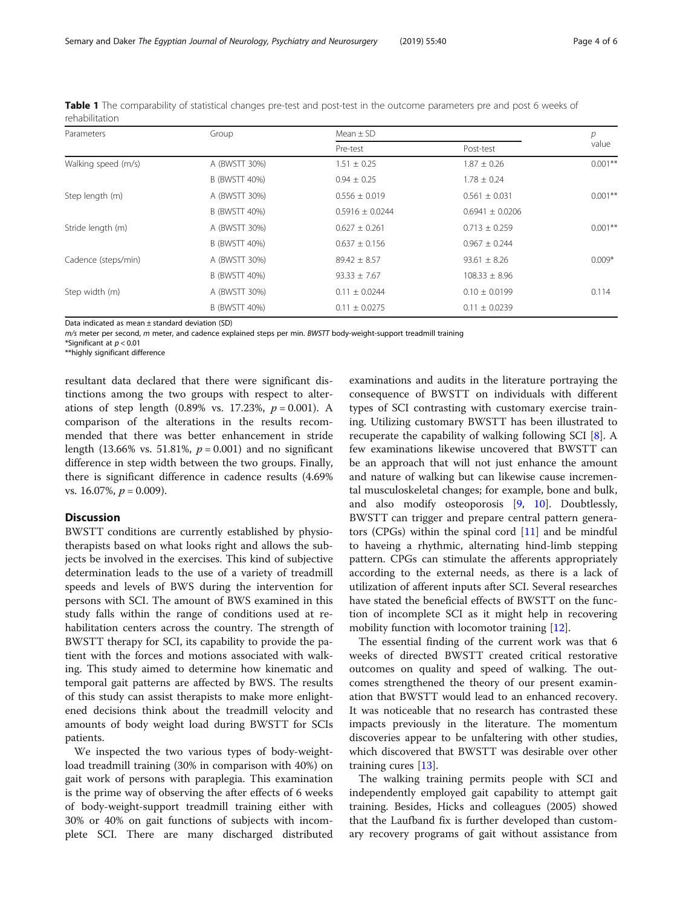| Parameters          | Group         | Mean $\pm$ SD       |                     | р          |
|---------------------|---------------|---------------------|---------------------|------------|
|                     |               | Pre-test            | Post-test           | value      |
| Walking speed (m/s) | A (BWSTT 30%) | $1.51 \pm 0.25$     | $1.87 \pm 0.26$     | $0.001**$  |
|                     | B (BWSTT 40%) | $0.94 \pm 0.25$     | $1.78 \pm 0.24$     |            |
| Step length (m)     | A (BWSTT 30%) | $0.556 \pm 0.019$   | $0.561 \pm 0.031$   | $0.001***$ |
|                     | B (BWSTT 40%) | $0.5916 \pm 0.0244$ | $0.6941 \pm 0.0206$ |            |
| Stride length (m)   | A (BWSTT 30%) | $0.627 \pm 0.261$   | $0.713 \pm 0.259$   | $0.001***$ |
|                     | B (BWSTT 40%) | $0.637 \pm 0.156$   | $0.967 \pm 0.244$   |            |
| Cadence (steps/min) | A (BWSTT 30%) | $89.42 \pm 8.57$    | $93.61 \pm 8.26$    | $0.009*$   |
|                     | B (BWSTT 40%) | $93.33 \pm 7.67$    | $108.33 \pm 8.96$   |            |
| Step width (m)      | A (BWSTT 30%) | $0.11 \pm 0.0244$   | $0.10 \pm 0.0199$   | 0.114      |
|                     | B (BWSTT 40%) | $0.11 \pm 0.0275$   | $0.11 \pm 0.0239$   |            |

<span id="page-3-0"></span>Table 1 The comparability of statistical changes pre-test and post-test in the outcome parameters pre and post 6 weeks of rehabilitation

Data indicated as mean ± standard deviation (SD)

 $m/s$  meter per second, m meter, and cadence explained steps per min. BWSTT body-weight-support treadmill training

\*Significant at  $p < 0.01$ 

\*\*highly significant difference

resultant data declared that there were significant distinctions among the two groups with respect to alterations of step length  $(0.89\% \text{ vs. } 17.23\%, p = 0.001)$ . A comparison of the alterations in the results recommended that there was better enhancement in stride length (13.66% vs. 51.81%,  $p = 0.001$ ) and no significant difference in step width between the two groups. Finally, there is significant difference in cadence results (4.69% vs. 16.07%,  $p = 0.009$ ).

# Discussion

BWSTT conditions are currently established by physiotherapists based on what looks right and allows the subjects be involved in the exercises. This kind of subjective determination leads to the use of a variety of treadmill speeds and levels of BWS during the intervention for persons with SCI. The amount of BWS examined in this study falls within the range of conditions used at rehabilitation centers across the country. The strength of BWSTT therapy for SCI, its capability to provide the patient with the forces and motions associated with walking. This study aimed to determine how kinematic and temporal gait patterns are affected by BWS. The results of this study can assist therapists to make more enlightened decisions think about the treadmill velocity and amounts of body weight load during BWSTT for SCIs patients.

We inspected the two various types of body-weightload treadmill training (30% in comparison with 40%) on gait work of persons with paraplegia. This examination is the prime way of observing the after effects of 6 weeks of body-weight-support treadmill training either with 30% or 40% on gait functions of subjects with incomplete SCI. There are many discharged distributed

examinations and audits in the literature portraying the consequence of BWSTT on individuals with different types of SCI contrasting with customary exercise training. Utilizing customary BWSTT has been illustrated to recuperate the capability of walking following SCI [\[8\]](#page-5-0). A few examinations likewise uncovered that BWSTT can be an approach that will not just enhance the amount and nature of walking but can likewise cause incremental musculoskeletal changes; for example, bone and bulk, and also modify osteoporosis [[9](#page-5-0), [10\]](#page-5-0). Doubtlessly, BWSTT can trigger and prepare central pattern generators (CPGs) within the spinal cord  $[11]$  $[11]$  and be mindful to haveing a rhythmic, alternating hind-limb stepping pattern. CPGs can stimulate the afferents appropriately according to the external needs, as there is a lack of utilization of afferent inputs after SCI. Several researches have stated the beneficial effects of BWSTT on the function of incomplete SCI as it might help in recovering mobility function with locomotor training [[12\]](#page-5-0).

The essential finding of the current work was that 6 weeks of directed BWSTT created critical restorative outcomes on quality and speed of walking. The outcomes strengthened the theory of our present examination that BWSTT would lead to an enhanced recovery. It was noticeable that no research has contrasted these impacts previously in the literature. The momentum discoveries appear to be unfaltering with other studies, which discovered that BWSTT was desirable over other training cures [\[13](#page-5-0)].

The walking training permits people with SCI and independently employed gait capability to attempt gait training. Besides, Hicks and colleagues (2005) showed that the Laufband fix is further developed than customary recovery programs of gait without assistance from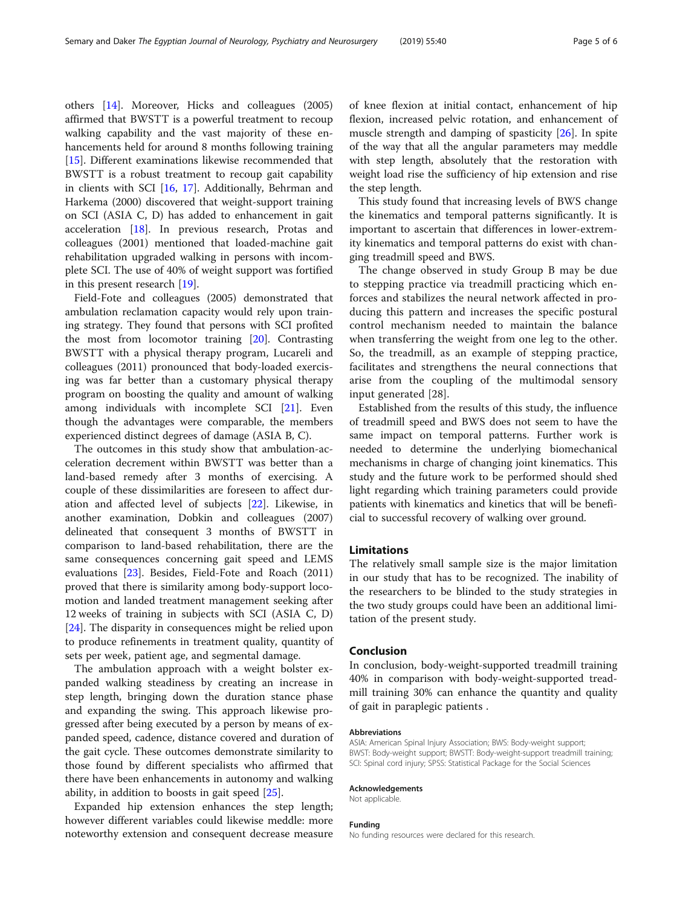others [\[14](#page-5-0)]. Moreover, Hicks and colleagues (2005) affirmed that BWSTT is a powerful treatment to recoup walking capability and the vast majority of these enhancements held for around 8 months following training [[15\]](#page-5-0). Different examinations likewise recommended that BWSTT is a robust treatment to recoup gait capability in clients with SCI [[16,](#page-5-0) [17\]](#page-5-0). Additionally, Behrman and Harkema (2000) discovered that weight-support training on SCI (ASIA C, D) has added to enhancement in gait acceleration [\[18](#page-5-0)]. In previous research, Protas and colleagues (2001) mentioned that loaded-machine gait rehabilitation upgraded walking in persons with incomplete SCI. The use of 40% of weight support was fortified in this present research [[19](#page-5-0)].

Field-Fote and colleagues (2005) demonstrated that ambulation reclamation capacity would rely upon training strategy. They found that persons with SCI profited the most from locomotor training [[20](#page-5-0)]. Contrasting BWSTT with a physical therapy program, Lucareli and colleagues (2011) pronounced that body-loaded exercising was far better than a customary physical therapy program on boosting the quality and amount of walking among individuals with incomplete SCI [\[21\]](#page-5-0). Even though the advantages were comparable, the members experienced distinct degrees of damage (ASIA B, C).

The outcomes in this study show that ambulation-acceleration decrement within BWSTT was better than a land-based remedy after 3 months of exercising. A couple of these dissimilarities are foreseen to affect duration and affected level of subjects [\[22](#page-5-0)]. Likewise, in another examination, Dobkin and colleagues (2007) delineated that consequent 3 months of BWSTT in comparison to land-based rehabilitation, there are the same consequences concerning gait speed and LEMS evaluations [[23](#page-5-0)]. Besides, Field-Fote and Roach (2011) proved that there is similarity among body-support locomotion and landed treatment management seeking after 12 weeks of training in subjects with SCI (ASIA C, D) [[24\]](#page-5-0). The disparity in consequences might be relied upon to produce refinements in treatment quality, quantity of sets per week, patient age, and segmental damage.

The ambulation approach with a weight bolster expanded walking steadiness by creating an increase in step length, bringing down the duration stance phase and expanding the swing. This approach likewise progressed after being executed by a person by means of expanded speed, cadence, distance covered and duration of the gait cycle. These outcomes demonstrate similarity to those found by different specialists who affirmed that there have been enhancements in autonomy and walking ability, in addition to boosts in gait speed [\[25](#page-5-0)].

Expanded hip extension enhances the step length; however different variables could likewise meddle: more noteworthy extension and consequent decrease measure of knee flexion at initial contact, enhancement of hip flexion, increased pelvic rotation, and enhancement of muscle strength and damping of spasticity [\[26](#page-5-0)]. In spite of the way that all the angular parameters may meddle with step length, absolutely that the restoration with weight load rise the sufficiency of hip extension and rise the step length.

This study found that increasing levels of BWS change the kinematics and temporal patterns significantly. It is important to ascertain that differences in lower-extremity kinematics and temporal patterns do exist with changing treadmill speed and BWS.

The change observed in study Group B may be due to stepping practice via treadmill practicing which enforces and stabilizes the neural network affected in producing this pattern and increases the specific postural control mechanism needed to maintain the balance when transferring the weight from one leg to the other. So, the treadmill, as an example of stepping practice, facilitates and strengthens the neural connections that arise from the coupling of the multimodal sensory input generated [28].

Established from the results of this study, the influence of treadmill speed and BWS does not seem to have the same impact on temporal patterns. Further work is needed to determine the underlying biomechanical mechanisms in charge of changing joint kinematics. This study and the future work to be performed should shed light regarding which training parameters could provide patients with kinematics and kinetics that will be beneficial to successful recovery of walking over ground.

#### Limitations

The relatively small sample size is the major limitation in our study that has to be recognized. The inability of the researchers to be blinded to the study strategies in the two study groups could have been an additional limitation of the present study.

#### Conclusion

In conclusion, body-weight-supported treadmill training 40% in comparison with body-weight-supported treadmill training 30% can enhance the quantity and quality of gait in paraplegic patients .

#### Abbreviations

ASIA: American Spinal Injury Association; BWS: Body-weight support; BWST: Body-weight support; BWSTT: Body-weight-support treadmill training; SCI: Spinal cord injury; SPSS: Statistical Package for the Social Sciences

#### Acknowledgements

Not applicable.

#### Funding

No funding resources were declared for this research.